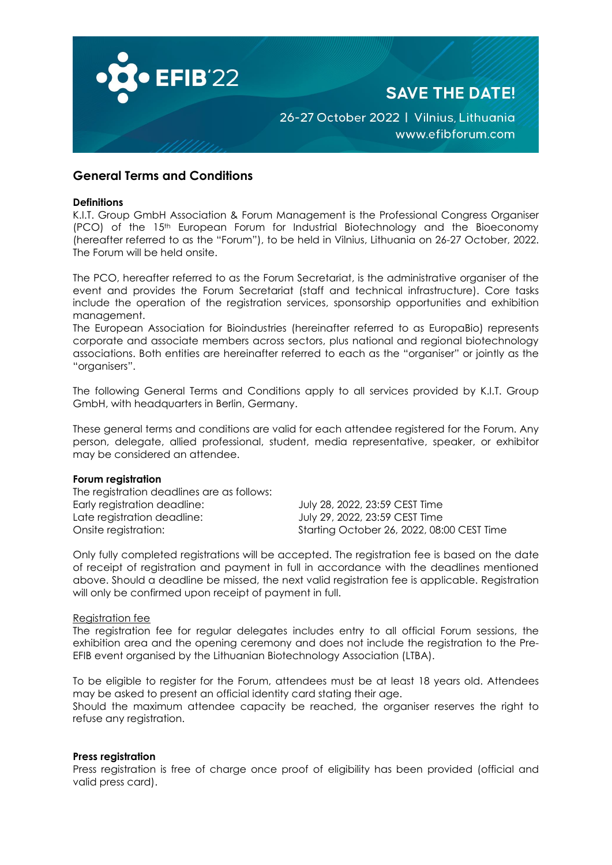

# **General Terms and Conditions**

#### **Definitions**

K.I.T. Group GmbH Association & Forum Management is the Professional Congress Organiser (PCO) of the 15th European Forum for Industrial Biotechnology and the Bioeconomy (hereafter referred to as the "Forum"), to be held in Vilnius, Lithuania on 26-27 October, 2022. The Forum will be held onsite.

The PCO, hereafter referred to as the Forum Secretariat, is the administrative organiser of the event and provides the Forum Secretariat (staff and technical infrastructure). Core tasks include the operation of the registration services, sponsorship opportunities and exhibition management.

The European Association for Bioindustries (hereinafter referred to as EuropaBio) represents corporate and associate members across sectors, plus national and regional biotechnology associations. Both entities are hereinafter referred to each as the "organiser" or jointly as the "organisers".

The following General Terms and Conditions apply to all services provided by K.I.T. Group GmbH, with headquarters in Berlin, Germany.

These general terms and conditions are valid for each attendee registered for the Forum. Any person, delegate, allied professional, student, media representative, speaker, or exhibitor may be considered an attendee.

## **Forum registration**

The registration deadlines are as follows: Early registration deadline: July 28, 2022, 23:59 CEST Time Late registration deadline: July 29, 2022, 23:59 CEST Time Onsite registration: Starting October 26, 2022, 08:00 CEST Time

Only fully completed registrations will be accepted. The registration fee is based on the date of receipt of registration and payment in full in accordance with the deadlines mentioned above. Should a deadline be missed, the next valid registration fee is applicable. Registration will only be confirmed upon receipt of payment in full.

#### Registration fee

The registration fee for regular delegates includes entry to all official Forum sessions, the exhibition area and the opening ceremony and does not include the registration to the Pre-EFIB event organised by the Lithuanian Biotechnology Association (LTBA).

To be eligible to register for the Forum, attendees must be at least 18 years old. Attendees may be asked to present an official identity card stating their age.

Should the maximum attendee capacity be reached, the organiser reserves the right to refuse any registration.

### **Press registration**

Press registration is free of charge once proof of eligibility has been provided (official and valid press card).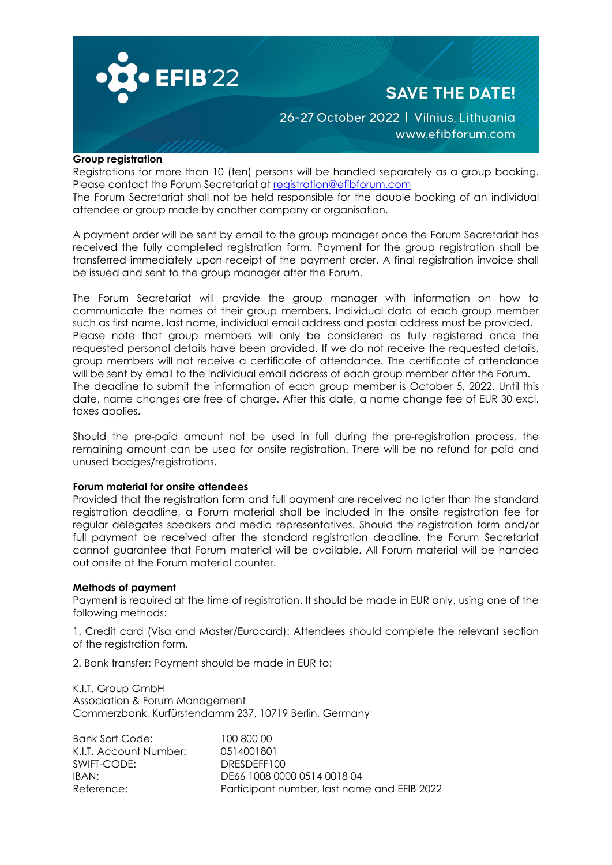

# **SAVE THE DATE!**

26-27 October 2022 | Vilnius, Lithuania www.efibforum.com

## **Group registration**

Registrations for more than 10 (ten) persons will be handled separately as a group booking. Please contact the Forum Secretariat at [registration@efibforum.com](mailto:registration@efibforum.com) The Forum Secretariat shall not be held responsible for the double booking of an individual attendee or group made by another company or organisation.

A payment order will be sent by email to the group manager once the Forum Secretariat has received the fully completed registration form. Payment for the group registration shall be transferred immediately upon receipt of the payment order. A final registration invoice shall be issued and sent to the group manager after the Forum.

The Forum Secretariat will provide the group manager with information on how to communicate the names of their group members. Individual data of each group member such as first name, last name, individual email address and postal address must be provided. Please note that group members will only be considered as fully registered once the requested personal details have been provided. If we do not receive the requested details, group members will not receive a certificate of attendance. The certificate of attendance will be sent by email to the individual email address of each group member after the Forum. The deadline to submit the information of each group member is October 5, 2022. Until this date, name changes are free of charge. After this date, a name change fee of EUR 30 excl. taxes applies.

Should the pre-paid amount not be used in full during the pre-registration process, the remaining amount can be used for onsite registration. There will be no refund for paid and unused badges/registrations.

# **Forum material for onsite attendees**

Provided that the registration form and full payment are received no later than the standard registration deadline, a Forum material shall be included in the onsite registration fee for regular delegates speakers and media representatives. Should the registration form and/or full payment be received after the standard registration deadline, the Forum Secretariat cannot guarantee that Forum material will be available. All Forum material will be handed out onsite at the Forum material counter.

# **Methods of payment**

Payment is required at the time of registration. It should be made in EUR only, using one of the following methods:

1. Credit card (Visa and Master/Eurocard): Attendees should complete the relevant section of the registration form.

2. Bank transfer: Payment should be made in EUR to:

K.I.T. Group GmbH Association & Forum Management Commerzbank, Kurfürstendamm 237, 10719 Berlin, Germany

| <b>Bank Sort Code:</b> | 100 800 00                                  |
|------------------------|---------------------------------------------|
| K.I.T. Account Number: | 0514001801                                  |
| SWIFT-CODE:            | DRESDEFF100                                 |
| IBAN:                  | DE66 1008 0000 0514 0018 04                 |
| Reference:             | Participant number, last name and EFIB 2022 |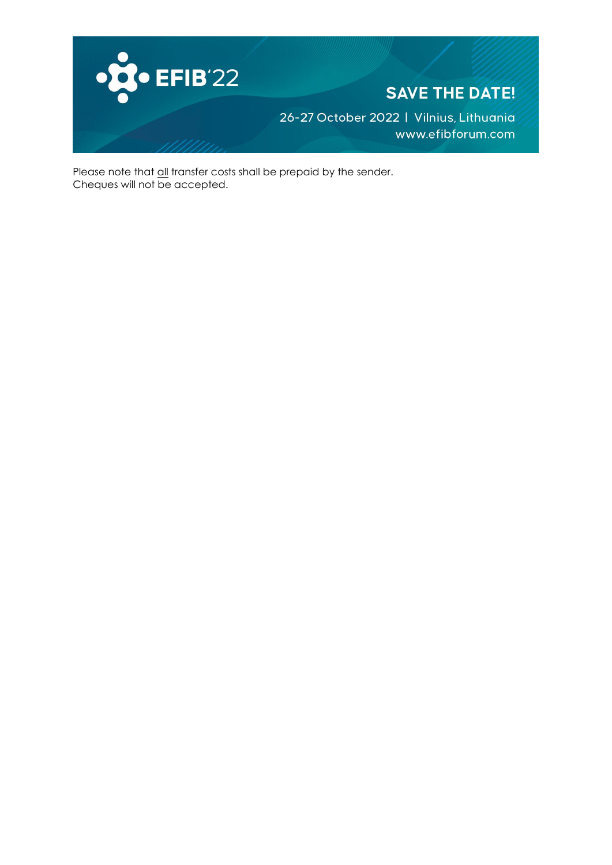

Please note that <u>all</u> transfer costs shall be prepaid by the sender. Cheques will not be accepted.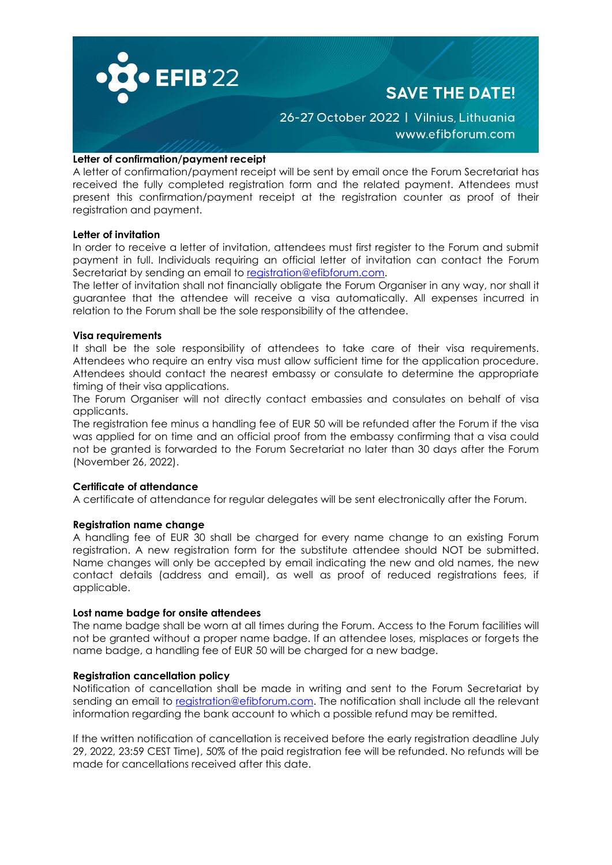

## **Letter of confirmation/payment receipt**

A letter of confirmation/payment receipt will be sent by email once the Forum Secretariat has received the fully completed registration form and the related payment. Attendees must present this confirmation/payment receipt at the registration counter as proof of their registration and payment.

### **Letter of invitation**

In order to receive a letter of invitation, attendees must first register to the Forum and submit payment in full. Individuals requiring an official letter of invitation can contact the Forum Secretariat by sending an email to [registration@efibforum.com.](mailto:registration@efibforum.com)

The letter of invitation shall not financially obligate the Forum Organiser in any way, nor shall it guarantee that the attendee will receive a visa automatically. All expenses incurred in relation to the Forum shall be the sole responsibility of the attendee.

### **Visa requirements**

It shall be the sole responsibility of attendees to take care of their visa requirements. Attendees who require an entry visa must allow sufficient time for the application procedure. Attendees should contact the nearest embassy or consulate to determine the appropriate timing of their visa applications.

The Forum Organiser will not directly contact embassies and consulates on behalf of visa applicants.

The registration fee minus a handling fee of EUR 50 will be refunded after the Forum if the visa was applied for on time and an official proof from the embassy confirming that a visa could not be granted is forwarded to the Forum Secretariat no later than 30 days after the Forum (November 26, 2022).

# **Certificate of attendance**

A certificate of attendance for regular delegates will be sent electronically after the Forum.

### **Registration name change**

A handling fee of EUR 30 shall be charged for every name change to an existing Forum registration. A new registration form for the substitute attendee should NOT be submitted. Name changes will only be accepted by email indicating the new and old names, the new contact details (address and email), as well as proof of reduced registrations fees, if applicable.

### **Lost name badge for onsite attendees**

The name badge shall be worn at all times during the Forum. Access to the Forum facilities will not be granted without a proper name badge. If an attendee loses, misplaces or forgets the name badge, a handling fee of EUR 50 will be charged for a new badge.

# **Registration cancellation policy**

Notification of cancellation shall be made in writing and sent to the Forum Secretariat by sending an email to [registration@efibforum.com.](mailto:registration@efibforum.com) The notification shall include all the relevant information regarding the bank account to which a possible refund may be remitted.

If the written notification of cancellation is received before the early registration deadline July 29, 2022, 23:59 CEST Time), 50% of the paid registration fee will be refunded. No refunds will be made for cancellations received after this date.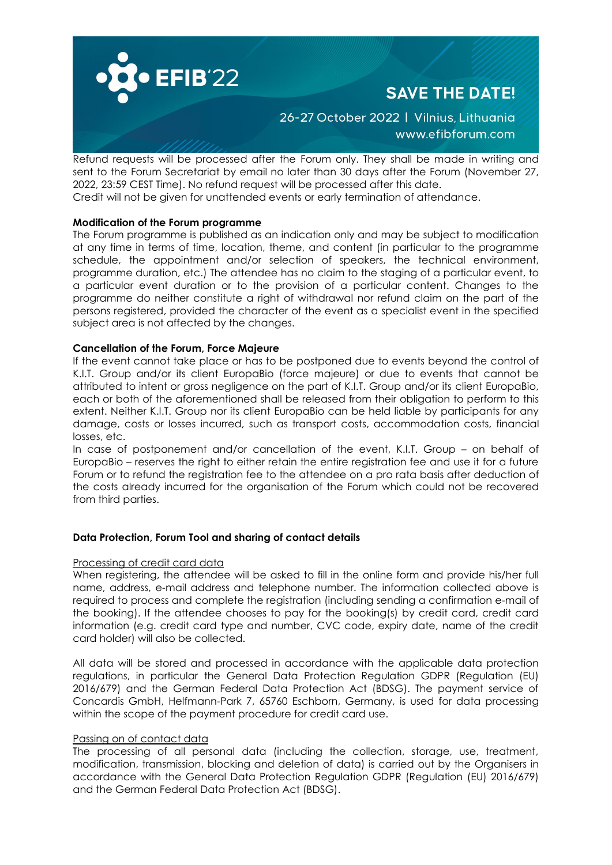

# **SAVE THE DATE!**

# 26-27 October 2022 | Vilnius, Lithuania www.efibforum.com

Refund requests will be processed after the Forum only. They shall be made in writing and sent to the Forum Secretariat by email no later than 30 days after the Forum (November 27, 2022, 23:59 CEST Time). No refund request will be processed after this date.

Credit will not be given for unattended events or early termination of attendance.

# **Modification of the Forum programme**

The Forum programme is published as an indication only and may be subject to modification at any time in terms of time, location, theme, and content (in particular to the programme schedule, the appointment and/or selection of speakers, the technical environment, programme duration, etc.) The attendee has no claim to the staging of a particular event, to a particular event duration or to the provision of a particular content. Changes to the programme do neither constitute a right of withdrawal nor refund claim on the part of the persons registered, provided the character of the event as a specialist event in the specified subject area is not affected by the changes.

# **Cancellation of the Forum, Force Majeure**

If the event cannot take place or has to be postponed due to events beyond the control of K.I.T. Group and/or its client EuropaBio (force majeure) or due to events that cannot be attributed to intent or gross negligence on the part of K.I.T. Group and/or its client EuropaBio, each or both of the aforementioned shall be released from their obligation to perform to this extent. Neither K.I.T. Group nor its client EuropaBio can be held liable by participants for any damage, costs or losses incurred, such as transport costs, accommodation costs, financial losses, etc.

In case of postponement and/or cancellation of the event, K.I.T. Group – on behalf of EuropaBio – reserves the right to either retain the entire registration fee and use it for a future Forum or to refund the registration fee to the attendee on a pro rata basis after deduction of the costs already incurred for the organisation of the Forum which could not be recovered from third parties.

# **Data Protection, Forum Tool and sharing of contact details**

# Processing of credit card data

When registering, the attendee will be asked to fill in the online form and provide his/her full name, address, e-mail address and telephone number. The information collected above is required to process and complete the registration (including sending a confirmation e-mail of the booking). If the attendee chooses to pay for the booking(s) by credit card, credit card information (e.g. credit card type and number, CVC code, expiry date, name of the credit card holder) will also be collected.

All data will be stored and processed in accordance with the applicable data protection regulations, in particular the General Data Protection Regulation GDPR (Regulation (EU) 2016/679) and the German Federal Data Protection Act (BDSG). The payment service of Concardis GmbH, Helfmann-Park 7, 65760 Eschborn, Germany, is used for data processing within the scope of the payment procedure for credit card use.

# Passing on of contact data

The processing of all personal data (including the collection, storage, use, treatment, modification, transmission, blocking and deletion of data) is carried out by the Organisers in accordance with the General Data Protection Regulation GDPR (Regulation (EU) 2016/679) and the German Federal Data Protection Act (BDSG).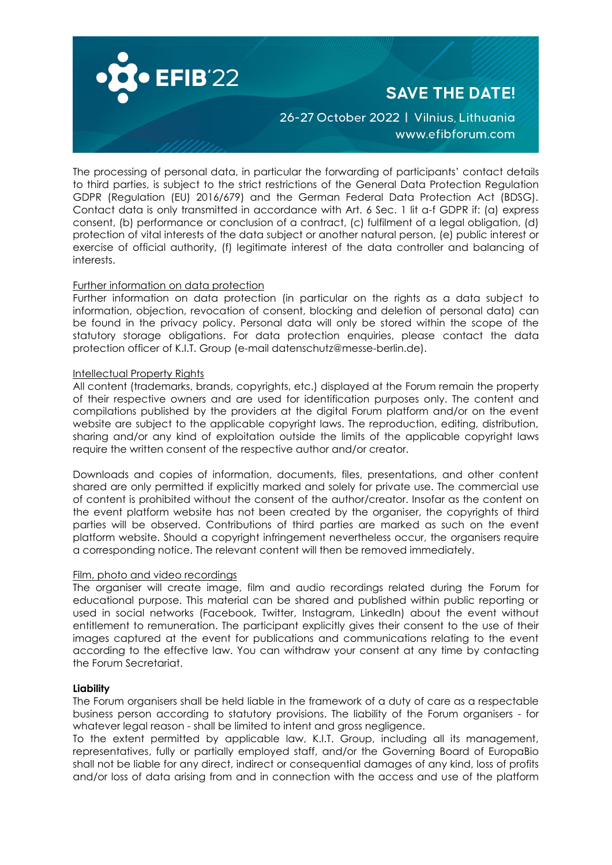

The processing of personal data, in particular the forwarding of participants' contact details to third parties, is subject to the strict restrictions of the General Data Protection Regulation GDPR (Regulation (EU) 2016/679) and the German Federal Data Protection Act (BDSG). Contact data is only transmitted in accordance with Art. 6 Sec. 1 lit a-f GDPR if: (a) express consent, (b) performance or conclusion of a contract, (c) fulfilment of a legal obligation, (d) protection of vital interests of the data subject or another natural person, (e) public interest or exercise of official authority, (f) legitimate interest of the data controller and balancing of interests.

# Further information on data protection

Further information on data protection (in particular on the rights as a data subject to information, objection, revocation of consent, blocking and deletion of personal data) can be found in the privacy policy. Personal data will only be stored within the scope of the statutory storage obligations. For data protection enquiries, please contact the data protection officer of K.I.T. Group (e-mail datenschutz@messe-berlin.de).

### Intellectual Property Rights

All content (trademarks, brands, copyrights, etc.) displayed at the Forum remain the property of their respective owners and are used for identification purposes only. The content and compilations published by the providers at the digital Forum platform and/or on the event website are subject to the applicable copyright laws. The reproduction, editing, distribution, sharing and/or any kind of exploitation outside the limits of the applicable copyright laws require the written consent of the respective author and/or creator.

Downloads and copies of information, documents, files, presentations, and other content shared are only permitted if explicitly marked and solely for private use. The commercial use of content is prohibited without the consent of the author/creator. Insofar as the content on the event platform website has not been created by the organiser, the copyrights of third parties will be observed. Contributions of third parties are marked as such on the event platform website. Should a copyright infringement nevertheless occur, the organisers require a corresponding notice. The relevant content will then be removed immediately.

### Film, photo and video recordings

The organiser will create image, film and audio recordings related during the Forum for educational purpose. This material can be shared and published within public reporting or used in social networks (Facebook, Twitter, Instagram, LinkedIn) about the event without entitlement to remuneration. The participant explicitly gives their consent to the use of their images captured at the event for publications and communications relating to the event according to the effective law. You can withdraw your consent at any time by contacting the Forum Secretariat.

### **Liability**

The Forum organisers shall be held liable in the framework of a duty of care as a respectable business person according to statutory provisions. The liability of the Forum organisers - for whatever legal reason - shall be limited to intent and gross negligence.

To the extent permitted by applicable law, K.I.T. Group, including all its management, representatives, fully or partially employed staff, and/or the Governing Board of EuropaBio shall not be liable for any direct, indirect or consequential damages of any kind, loss of profits and/or loss of data arising from and in connection with the access and use of the platform